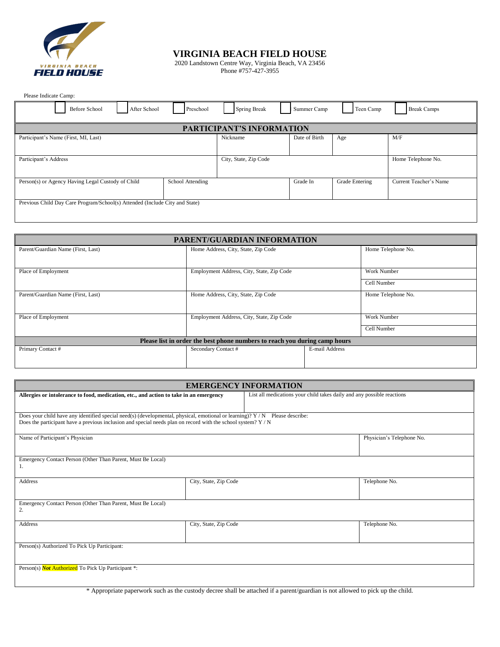

### **VIRGINIA BEACH FIELD HOUSE**

2020 Landstown Centre Way, Virginia Beach, VA 23456 Phone #757-427-3955

Please Indicate Camp:

| <b>Before School</b><br>After School                                        | Preschool        | Spring Break                     | Summer Camp   | Teen Camp      | <b>Break Camps</b>     |
|-----------------------------------------------------------------------------|------------------|----------------------------------|---------------|----------------|------------------------|
|                                                                             |                  | <b>PARTICIPANT'S INFORMATION</b> |               |                |                        |
| Participant's Name (First, MI, Last)                                        |                  | Nickname                         | Date of Birth | Age            | M/F                    |
| Participant's Address                                                       |                  | City, State, Zip Code            |               |                | Home Telephone No.     |
| Person(s) or Agency Having Legal Custody of Child                           | School Attending |                                  | Grade In      | Grade Entering | Current Teacher's Name |
| Previous Child Day Care Program/School(s) Attended (Include City and State) |                  |                                  |               |                |                        |

| PARENT/GUARDIAN INFORMATION                                                |                                           |                |                    |  |
|----------------------------------------------------------------------------|-------------------------------------------|----------------|--------------------|--|
| Parent/Guardian Name (First, Last)                                         | Home Address, City, State, Zip Code       |                | Home Telephone No. |  |
|                                                                            |                                           |                |                    |  |
| Place of Employment                                                        | Employment Address, City, State, Zip Code |                | <b>Work Number</b> |  |
|                                                                            |                                           |                | Cell Number        |  |
| Parent/Guardian Name (First, Last)                                         | Home Address, City, State, Zip Code       |                | Home Telephone No. |  |
|                                                                            |                                           |                |                    |  |
| Place of Employment                                                        | Employment Address, City, State, Zip Code |                | <b>Work Number</b> |  |
|                                                                            |                                           |                | Cell Number        |  |
| Please list in order the best phone numbers to reach you during camp hours |                                           |                |                    |  |
| Primary Contact #                                                          | Secondary Contact #                       | E-mail Address |                    |  |
|                                                                            |                                           |                |                    |  |

| <b>EMERGENCY INFORMATION</b>                                                                                                                                                                                                                  |                       |                                                                        |                           |  |
|-----------------------------------------------------------------------------------------------------------------------------------------------------------------------------------------------------------------------------------------------|-----------------------|------------------------------------------------------------------------|---------------------------|--|
| Allergies or intolerance to food, medication, etc., and action to take in an emergency                                                                                                                                                        |                       | List all medications your child takes daily and any possible reactions |                           |  |
|                                                                                                                                                                                                                                               |                       |                                                                        |                           |  |
| Does your child have any identified special need(s) (developmental, physical, emotional or learning)? $Y/N$ Please describe:<br>Does the participant have a previous inclusion and special needs plan on record with the school system? $Y/N$ |                       |                                                                        |                           |  |
| Name of Participant's Physician                                                                                                                                                                                                               |                       |                                                                        | Physician's Telephone No. |  |
| Emergency Contact Person (Other Than Parent, Must Be Local)<br>1.                                                                                                                                                                             |                       |                                                                        |                           |  |
| Address                                                                                                                                                                                                                                       | City, State, Zip Code |                                                                        | Telephone No.             |  |
| Emergency Contact Person (Other Than Parent, Must Be Local)<br>2.                                                                                                                                                                             |                       |                                                                        |                           |  |
| Address                                                                                                                                                                                                                                       | City, State, Zip Code |                                                                        | Telephone No.             |  |
| Person(s) Authorized To Pick Up Participant:                                                                                                                                                                                                  |                       |                                                                        |                           |  |
| Person(s) <b>Not Authorized</b> To Pick Up Participant *:                                                                                                                                                                                     |                       |                                                                        |                           |  |

\* Appropriate paperwork such as the custody decree shall be attached if a parent/guardian is not allowed to pick up the child.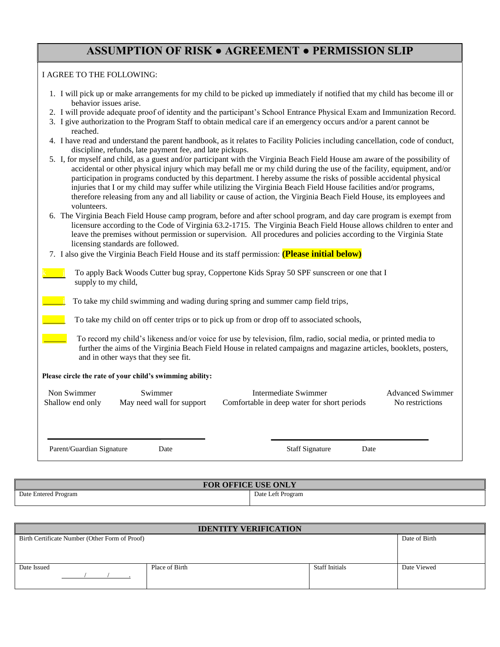## **ASSUMPTION OF RISK ● AGREEMENT ● PERMISSION SLIP**

#### I AGREE TO THE FOLLOWING:

| 1. I will pick up or make arrangements for my child to be picked up immediately if notified that my child has become ill or |
|-----------------------------------------------------------------------------------------------------------------------------|
| behavior issues arise.                                                                                                      |

- 2. I will provide adequate proof of identity and the participant's School Entrance Physical Exam and Immunization Record.
- 3. I give authorization to the Program Staff to obtain medical care if an emergency occurs and/or a parent cannot be reached.
- 4. I have read and understand the parent handbook, as it relates to Facility Policies including cancellation, code of conduct, discipline, refunds, late payment fee, and late pickups.
- 5. I, for myself and child, as a guest and/or participant with the Virginia Beach Field House am aware of the possibility of accidental or other physical injury which may befall me or my child during the use of the facility, equipment, and/or participation in programs conducted by this department. I hereby assume the risks of possible accidental physical injuries that I or my child may suffer while utilizing the Virginia Beach Field House facilities and/or programs, therefore releasing from any and all liability or cause of action, the Virginia Beach Field House, its employees and volunteers.
- 6. The Virginia Beach Field House camp program, before and after school program, and day care program is exempt from licensure according to the Code of Virginia 63.2-1715. The Virginia Beach Field House allows children to enter and leave the premises without permission or supervision. All procedures and policies according to the Virginia State licensing standards are followed.
- 7. I also give the Virginia Beach Field House and its staff permission: **(Please initial below)**
	- To apply Back Woods Cutter bug spray, Coppertone Kids Spray 50 SPF sunscreen or one that I supply to my child,

To take my child swimming and wading during spring and summer camp field trips,

To take my child on off center trips or to pick up from or drop off to associated schools,

 To record my child's likeness and/or voice for use by television, film, radio, social media, or printed media to further the aims of the Virginia Beach Field House in related campaigns and magazine articles, booklets, posters, and in other ways that they see fit.

#### **Please circle the rate of your child's swimming ability:**

| Non Swimmer      | Swimmer                   | Intermediate Swimmer                        | Advanced Swimmer |
|------------------|---------------------------|---------------------------------------------|------------------|
| Shallow end only | May need wall for support | Comfortable in deep water for short periods | No restrictions  |
|                  |                           |                                             |                  |

Parent/Guardian Signature Date Date Staff Signature Date

| <b>FOR OFFICE USE ONLY</b> |                   |  |  |
|----------------------------|-------------------|--|--|
| Date Entered Program       | Date Left Program |  |  |

| <b>IDENTITY VERIFICATION</b>                   |                |                       |               |
|------------------------------------------------|----------------|-----------------------|---------------|
| Birth Certificate Number (Other Form of Proof) |                |                       | Date of Birth |
|                                                |                |                       |               |
|                                                |                |                       |               |
| Date Issued                                    | Place of Birth | <b>Staff Initials</b> | Date Viewed   |
|                                                |                |                       |               |
|                                                |                |                       |               |